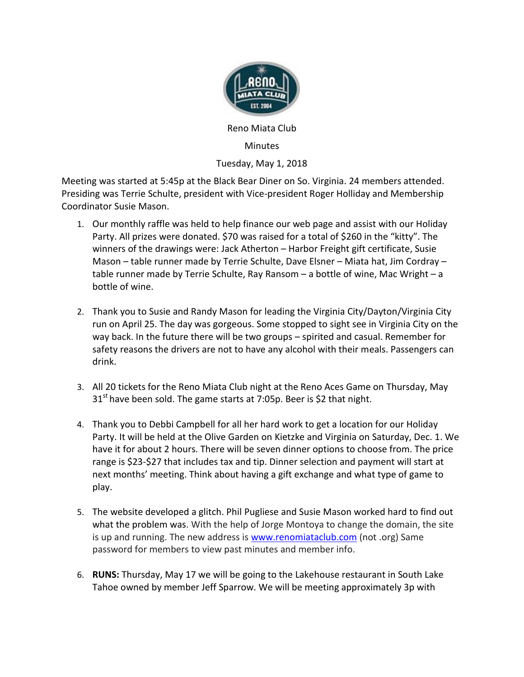

Reno Miata Club

## Minutes

## Tuesday, May 1, 2018

Meeting was started at 5:45p at the Black Bear Diner on So. Virginia. 24 members attended. Presiding was Terrie Schulte, president with Vice-president Roger Holliday and Membership Coordinator Susie Mason.

- 1. Our monthly raffle was held to help finance our web page and assist with our Holiday Party. All prizes were donated. \$70 was raised for a total of \$260 in the "kitty". The winners of the drawings were: Jack Atherton – Harbor Freight gift certificate, Susie Mason – table runner made by Terrie Schulte, Dave Elsner – Miata hat, Jim Cordray – table runner made by Terrie Schulte, Ray Ransom – a bottle of wine, Mac Wright – a bottle of wine.
- 2. Thank you to Susie and Randy Mason for leading the Virginia City/Dayton/Virginia City run on April 25. The day was gorgeous. Some stopped to sight see in Virginia City on the way back. In the future there will be two groups – spirited and casual. Remember for safety reasons the drivers are not to have any alcohol with their meals. Passengers can drink.
- 3. All 20 tickets for the Reno Miata Club night at the Reno Aces Game on Thursday, May  $31<sup>st</sup>$  have been sold. The game starts at 7:05p. Beer is \$2 that night.
- 4. Thank you to Debbi Campbell for all her hard work to get a location for our Holiday Party. It will be held at the Olive Garden on Kietzke and Virginia on Saturday, Dec. 1. We have it for about 2 hours. There will be seven dinner options to choose from. The price range is \$23-\$27 that includes tax and tip. Dinner selection and payment will start at next months' meeting. Think about having a gift exchange and what type of game to play.
- 5. The website developed a glitch. Phil Pugliese and Susie Mason worked hard to find out what the problem was. With the help of Jorge Montoya to change the domain, the site is up and running. The new address is [www.renomiataclub.com](http://www.renomiataclub.com/) (not .org) Same password for members to view past minutes and member info.
- 6. **RUNS:** Thursday, May 17 we will be going to the Lakehouse restaurant in South Lake Tahoe owned by member Jeff Sparrow. We will be meeting approximately 3p with